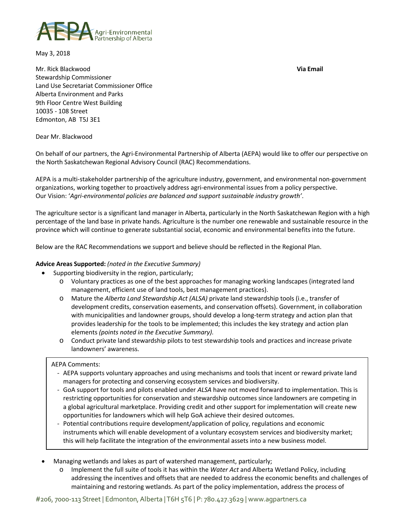

May 3, 2018

Mr. Rick Blackwood **Via Email** Stewardship Commissioner Land Use Secretariat Commissioner Office Alberta Environment and Parks 9th Floor Centre West Building 10035 - 108 Street Edmonton, AB T5J 3E1

Dear Mr. Blackwood

On behalf of our partners, the Agri-Environmental Partnership of Alberta (AEPA) would like to offer our perspective on the North Saskatchewan Regional Advisory Council (RAC) Recommendations.

AEPA is a multi-stakeholder partnership of the agriculture industry, government, and environmental non-government organizations, working together to proactively address agri-environmental issues from a policy perspective. Our Vision: '*Agri-environmental policies are balanced and support sustainable industry growth'*.

The agriculture sector is a significant land manager in Alberta, particularly in the North Saskatchewan Region with a high percentage of the land base in private hands. Agriculture is the number one renewable and sustainable resource in the province which will continue to generate substantial social, economic and environmental benefits into the future.

Below are the RAC Recommendations we support and believe should be reflected in the Regional Plan.

## **Advice Areas Supported:** *(noted in the Executive Summary)*

- Supporting biodiversity in the region, particularly;
	- o Voluntary practices as one of the best approaches for managing working landscapes (integrated land management, efficient use of land tools, best management practices).
	- o Mature the *Alberta Land Stewardship Act (ALSA)* private land stewardship tools (i.e., transfer of development credits, conservation easements, and conservation offsets). Government, in collaboration with municipalities and landowner groups, should develop a long-term strategy and action plan that provides leadership for the tools to be implemented; this includes the key strategy and action plan elements *(points noted in the Executive Summary).*
	- o Conduct private land stewardship pilots to test stewardship tools and practices and increase private landowners' awareness.

## AEPA Comments:

- AEPA supports voluntary approaches and using mechanisms and tools that incent or reward private land managers for protecting and conserving ecosystem services and biodiversity.
- GoA support for tools and pilots enabled under *ALSA* have not moved forward to implementation. This is restricting opportunities for conservation and stewardship outcomes since landowners are competing in a global agricultural marketplace. Providing credit and other support for implementation will create new opportunities for landowners which will help GoA achieve their desired outcomes.
- Potential contributions require development/application of policy, regulations and economic instruments which will enable development of a voluntary ecosystem services and biodiversity market; this will help facilitate the integration of the environmental assets into a new business model.
- Managing wetlands and lakes as part of watershed management, particularly;
	- o Implement the full suite of tools it has within the *Water Act* and Alberta Wetland Policy, including addressing the incentives and offsets that are needed to address the economic benefits and challenges of maintaining and restoring wetlands. As part of the policy implementation, address the process of